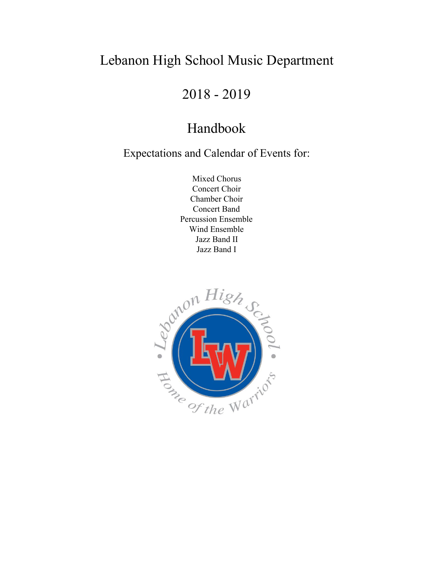# Lebanon High School Music Department

2018 - 2019

# Handbook

Expectations and Calendar of Events for:

Mixed Chorus Concert Choir Chamber Choir Concert Band Percussion Ensemble Wind Ensemble Jazz Band II Jazz Band I

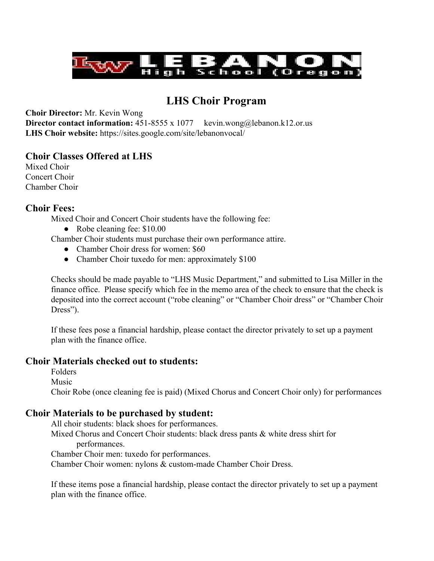

# **LHS Choir Program**

**Choir Director:** Mr. Kevin Wong

**Director contact information:** 451-8555 x 1077 kevin.wong@lebanon.k12.or.us **LHS Choir website:** https://sites.google.com/site/lebanonvocal/

## **Choir Classes Offered at LHS**

Mixed Choir Concert Choir Chamber Choir

# **Choir Fees:**

Mixed Choir and Concert Choir students have the following fee:

• Robe cleaning fee: \$10.00

Chamber Choir students must purchase their own performance attire.

- Chamber Choir dress for women: \$60
- Chamber Choir tuxedo for men: approximately \$100

Checks should be made payable to "LHS Music Department," and submitted to Lisa Miller in the finance office. Please specify which fee in the memo area of the check to ensure that the check is deposited into the correct account ("robe cleaning" or "Chamber Choir dress" or "Chamber Choir Dress").

If these fees pose a financial hardship, please contact the director privately to set up a payment plan with the finance office.

# **Choir Materials checked out to students:**

Folders Music Choir Robe (once cleaning fee is paid) (Mixed Chorus and Concert Choir only) for performances

# **Choir Materials to be purchased by student:**

All choir students: black shoes for performances. Mixed Chorus and Concert Choir students: black dress pants & white dress shirt for performances. Chamber Choir men: tuxedo for performances.

Chamber Choir women: nylons & custom-made Chamber Choir Dress.

If these items pose a financial hardship, please contact the director privately to set up a payment plan with the finance office.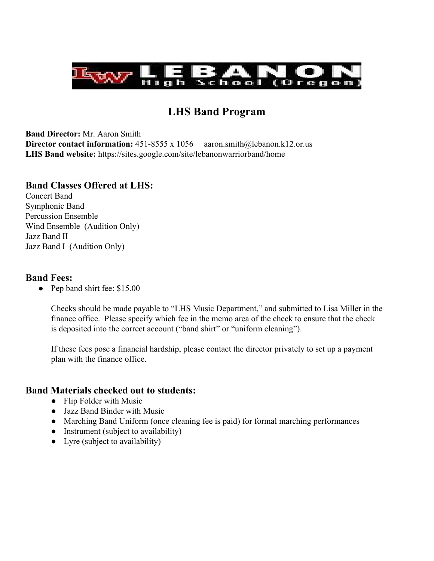

# **LHS Band Program**

**Band Director:** Mr. Aaron Smith **Director contact information:**  $451-8555 \times 1056$  aaron.smith@lebanon.k12.or.us **LHS Band website:** https://sites.google.com/site/lebanonwarriorband/home

## **Band Classes Offered at LHS:**

Concert Band Symphonic Band Percussion Ensemble Wind Ensemble (Audition Only) Jazz Band II Jazz Band I (Audition Only)

#### **Band Fees:**

**●** Pep band shirt fee: \$15.00

Checks should be made payable to "LHS Music Department," and submitted to Lisa Miller in the finance office. Please specify which fee in the memo area of the check to ensure that the check is deposited into the correct account ("band shirt" or "uniform cleaning").

If these fees pose a financial hardship, please contact the director privately to set up a payment plan with the finance office.

## **Band Materials checked out to students:**

- Flip Folder with Music
- Jazz Band Binder with Music
- Marching Band Uniform (once cleaning fee is paid) for formal marching performances
- Instrument (subject to availability)
- Lyre (subject to availability)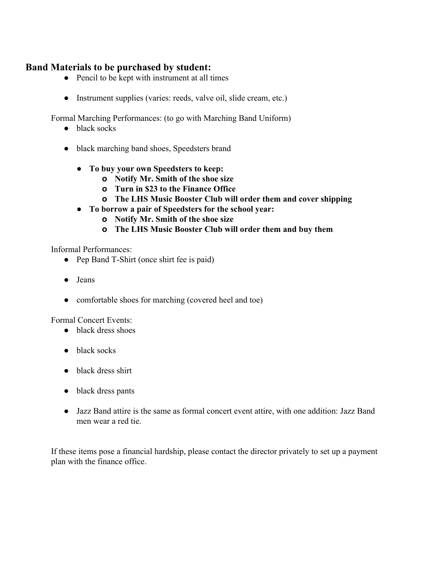# **Band Materials to be purchased by student:**

- Pencil to be kept with instrument at all times
- Instrument supplies (varies: reeds, valve oil, slide cream, etc.)

Formal Marching Performances: (to go with Marching Band Uniform)

- black socks
- black marching band shoes, Speedsters brand
	- **● To buy your own Speedsters to keep:**
		- **o Notify Mr. Smith of the shoe size**
		- **o Turn in \$23 to the Finance Office**
		- **o The LHS Music Booster Club will order them and cover shipping**
	- **● To borrow a pair of Speedsters for the school year:**
		- **o Notify Mr. Smith of the shoe size**
		- **o The LHS Music Booster Club will order them and buy them**

Informal Performances:

- Pep Band T-Shirt (once shirt fee is paid)
- Jeans
- comfortable shoes for marching (covered heel and toe)

Formal Concert Events:

- black dress shoes
- black socks
- black dress shirt
- black dress pants
- Jazz Band attire is the same as formal concert event attire, with one addition: Jazz Band men wear a red tie.

If these items pose a financial hardship, please contact the director privately to set up a payment plan with the finance office.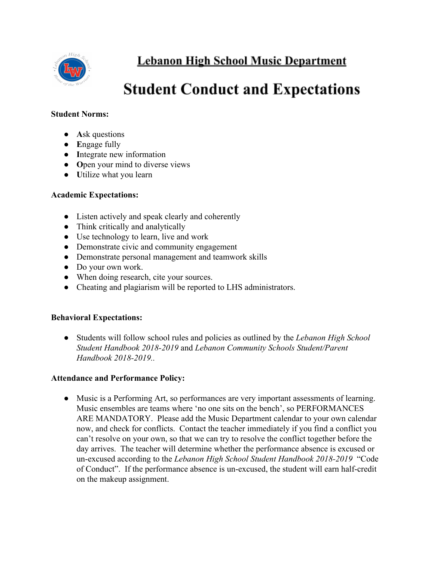

**Lebanon High School Music Department** 

# **Student Conduct and Expectations**

#### **Student Norms:**

- **● A**sk questions
- **● E**ngage fully
- **● I**ntegrate new information
- **● O**pen your mind to diverse views
- **● U**tilize what you learn

#### **Academic Expectations:**

- Listen actively and speak clearly and coherently
- Think critically and analytically
- Use technology to learn, live and work
- Demonstrate civic and community engagement
- Demonstrate personal management and teamwork skills
- Do your own work.
- When doing research, cite your sources.
- Cheating and plagiarism will be reported to LHS administrators.

#### **Behavioral Expectations:**

● Students will follow school rules and policies as outlined by the *Lebanon High School Student Handbook 2018-2019* and *Lebanon Community Schools Student/Parent Handbook 2018-2019..*

#### **Attendance and Performance Policy:**

● Music is a Performing Art, so performances are very important assessments of learning. Music ensembles are teams where 'no one sits on the bench', so PERFORMANCES ARE MANDATORY. Please add the Music Department calendar to your own calendar now, and check for conflicts. Contact the teacher immediately if you find a conflict you can't resolve on your own, so that we can try to resolve the conflict together before the day arrives. The teacher will determine whether the performance absence is excused or un-excused according to the *Lebanon High School Student Handbook 2018-2019* "Code of Conduct". If the performance absence is un-excused, the student will earn half-credit on the makeup assignment.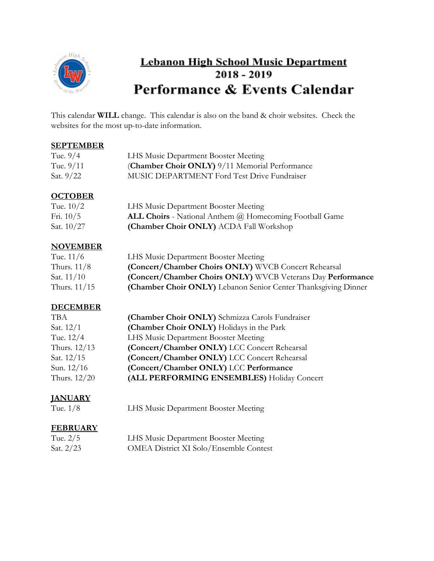

# **Lebanon High School Music Department**  $2018 - 2019$ Performance & Events Calendar

This calendar **WILL** change. This calendar is also on the band & choir websites. Check the websites for the most up-to-date information.

#### **SEPTEMBER**

| Tue. 9/4  | LHS Music Department Booster Meeting               |
|-----------|----------------------------------------------------|
| Tue. 9/11 | (Chamber Choir ONLY) 9/11 Memorial Performance     |
| Sat. 9/22 | <b>MUSIC DEPARTMENT Ford Test Drive Fundraiser</b> |

## **OCTOBER**

| Tue. $10/2$  | LHS Music Department Booster Meeting                           |
|--------------|----------------------------------------------------------------|
| Fri. $10/5$  | <b>ALL Choirs</b> - National Anthem @ Homecoming Football Game |
| Sat. $10/27$ | (Chamber Choir ONLY) ACDA Fall Workshop                        |

# **NOVEMBER**

| Tue. $11/6$    | LHS Music Department Booster Meeting                           |
|----------------|----------------------------------------------------------------|
| Thurs. $11/8$  | (Concert/Chamber Choirs ONLY) WVCB Concert Rehearsal           |
| Sat. $11/10$   | (Concert/Chamber Choirs ONLY) WVCB Veterans Day Performance    |
| Thurs. $11/15$ | (Chamber Choir ONLY) Lebanon Senior Center Thanksgiving Dinner |

# **DECEMBER**

| <b>TBA</b>   | (Chamber Choir ONLY) Schmizza Carols Fundraiser |
|--------------|-------------------------------------------------|
| Sat. $12/1$  | (Chamber Choir ONLY) Holidays in the Park       |
| Tue. 12/4    | LHS Music Department Booster Meeting            |
| Thurs. 12/13 | (Concert/Chamber ONLY) LCC Concert Rehearsal    |
| Sat. 12/15   | (Concert/Chamber ONLY) LCC Concert Rehearsal    |
| Sun. $12/16$ | (Concert/Chamber ONLY) LCC Performance          |
| Thurs. 12/20 | (ALL PERFORMING ENSEMBLES) Holiday Concert      |

# **JANUARY**

LHS Music Department Booster Meeting

## **FEBRUARY**

| Tue. $2/5$  | LHS Music Department Booster Meeting          |
|-------------|-----------------------------------------------|
| Sat. $2/23$ | <b>OMEA District XI Solo/Ensemble Contest</b> |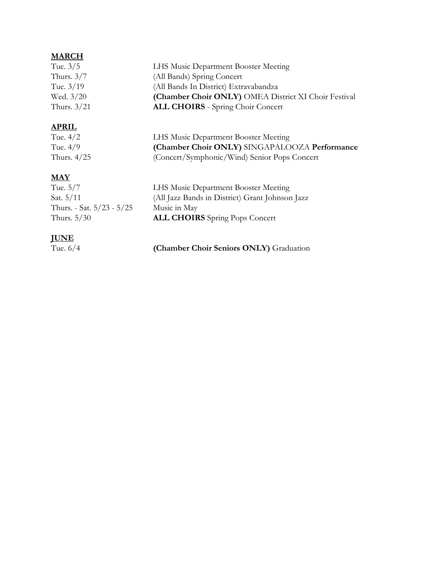## **MARCH**

| Tue. 3/5    | LHS Music Department Booster Meeting                 |
|-------------|------------------------------------------------------|
| Thurs. 3/7  | (All Bands) Spring Concert                           |
| Tue. 3/19   | (All Bands In District) Extravabandza                |
| Wed. 3/20   | (Chamber Choir ONLY) OMEA District XI Choir Festival |
| Thurs. 3/21 | <b>ALL CHOIRS</b> - Spring Choir Concert             |
|             |                                                      |

# **APRIL**

Tue. 4/2 LHS Music Department Booster Meeting Tue. 4/9 **(Chamber Choir ONLY)** SINGAPALOOZA **Performance** (Concert/Symphonic/Wind) Senior Pops Concert

#### **MAY**

| Tue. 5/7                  | LHS Music Department Booster Meeting            |
|---------------------------|-------------------------------------------------|
| Sat. 5/11                 | (All Jazz Bands in District) Grant Johnson Jazz |
| Thurs. - Sat. 5/23 - 5/25 | Music in May                                    |
| Thurs. 5/30               | <b>ALL CHOIRS</b> Spring Pops Concert           |
|                           |                                                 |

## **JUNE**

Tue. 6/4 **(Chamber Choir Seniors ONLY)** Graduation